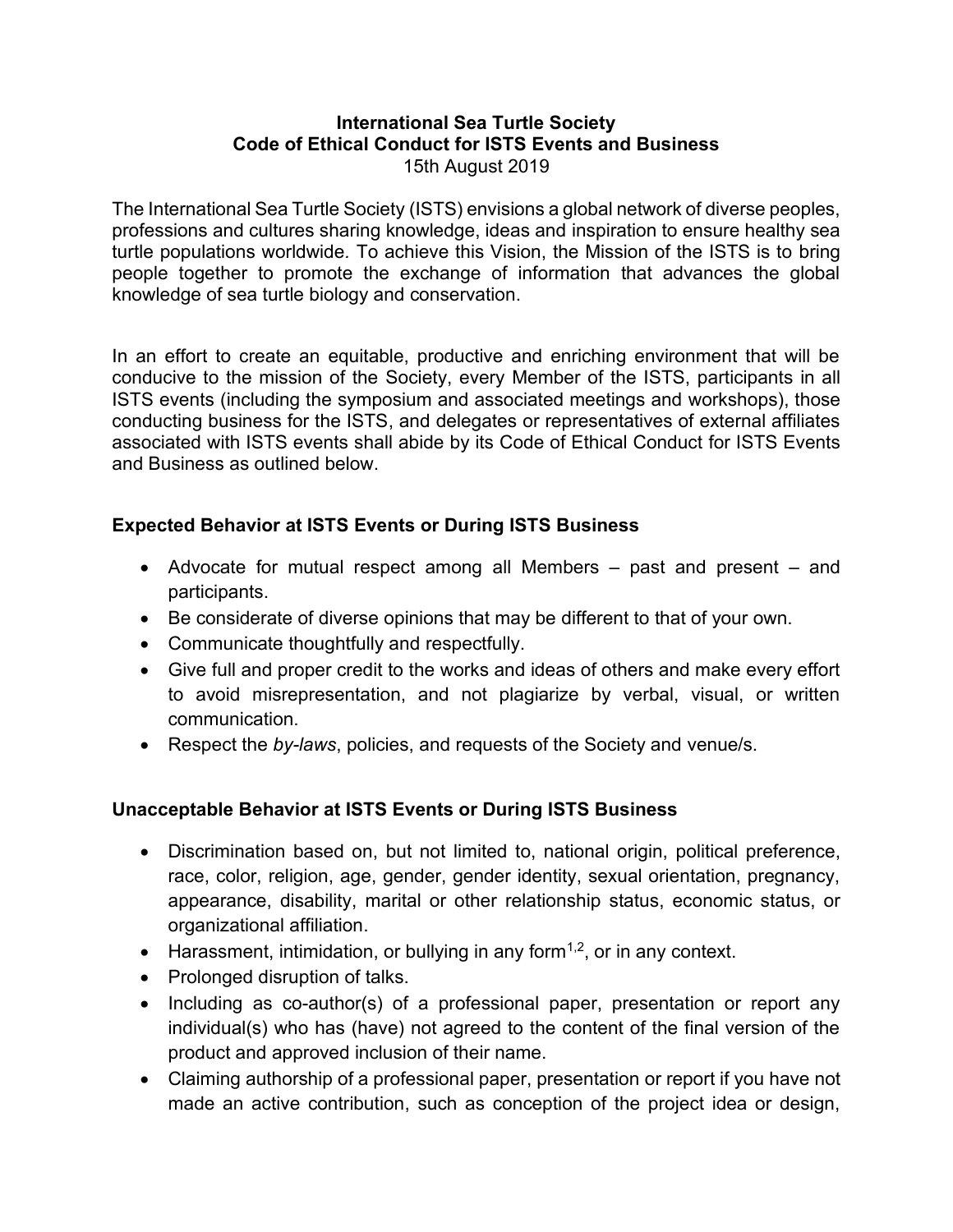## **International Sea Turtle Society Code of Ethical Conduct for ISTS Events and Business** 15th August 2019

The International Sea Turtle Society (ISTS) envisions a global network of diverse peoples, professions and cultures sharing knowledge, ideas and inspiration to ensure healthy sea turtle populations worldwide*.* To achieve this Vision, the Mission of the ISTS is to bring people together to promote the exchange of information that advances the global knowledge of sea turtle biology and conservation.

In an effort to create an equitable, productive and enriching environment that will be conducive to the mission of the Society, every Member of the ISTS, participants in all ISTS events (including the symposium and associated meetings and workshops), those conducting business for the ISTS, and delegates or representatives of external affiliates associated with ISTS events shall abide by its Code of Ethical Conduct for ISTS Events and Business as outlined below.

## **Expected Behavior at ISTS Events or During ISTS Business**

- Advocate for mutual respect among all Members past and present and participants.
- Be considerate of diverse opinions that may be different to that of your own.
- Communicate thoughtfully and respectfully.
- Give full and proper credit to the works and ideas of others and make every effort to avoid misrepresentation, and not plagiarize by verbal, visual, or written communication.
- Respect the *by-laws*, policies, and requests of the Society and venue/s.

## **Unacceptable Behavior at ISTS Events or During ISTS Business**

- Discrimination based on, but not limited to, national origin, political preference, race, color, religion, age, gender, gender identity, sexual orientation, pregnancy, appearance, disability, marital or other relationship status, economic status, or organizational affiliation.
- Harassment, intimidation, or bullying in any form<sup>1,2</sup>, or in any context.
- Prolonged disruption of talks.
- Including as co-author(s) of a professional paper, presentation or report any individual(s) who has (have) not agreed to the content of the final version of the product and approved inclusion of their name.
- Claiming authorship of a professional paper, presentation or report if you have not made an active contribution, such as conception of the project idea or design,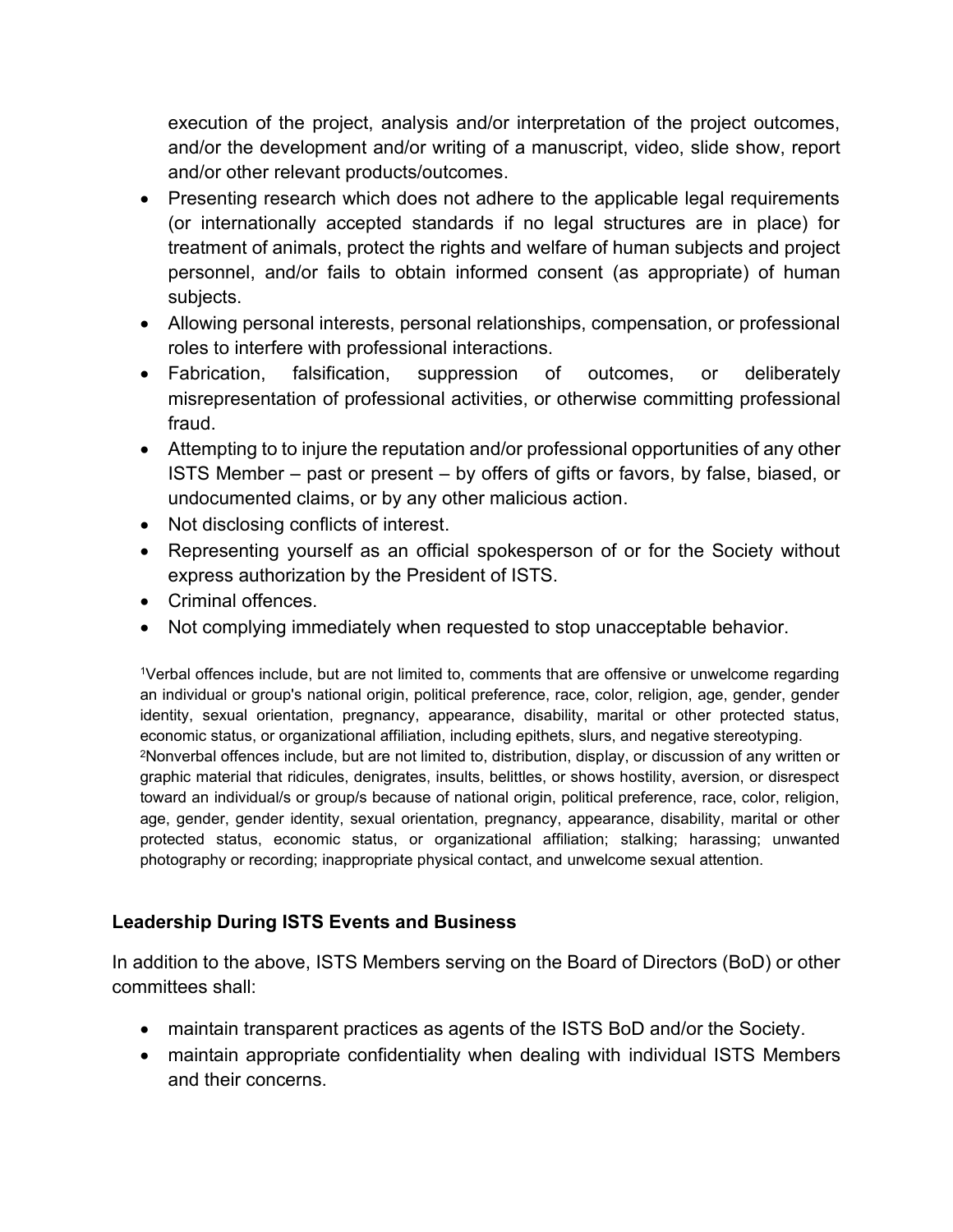execution of the project, analysis and/or interpretation of the project outcomes, and/or the development and/or writing of a manuscript, video, slide show, report and/or other relevant products/outcomes.

- Presenting research which does not adhere to the applicable legal requirements (or internationally accepted standards if no legal structures are in place) for treatment of animals, protect the rights and welfare of human subjects and project personnel, and/or fails to obtain informed consent (as appropriate) of human subjects.
- Allowing personal interests, personal relationships, compensation, or professional roles to interfere with professional interactions.
- Fabrication, falsification, suppression of outcomes, or deliberately misrepresentation of professional activities, or otherwise committing professional fraud.
- Attempting to to injure the reputation and/or professional opportunities of any other ISTS Member – past or present – by offers of gifts or favors, by false, biased, or undocumented claims, or by any other malicious action.
- Not disclosing conflicts of interest.
- Representing yourself as an official spokesperson of or for the Society without express authorization by the President of ISTS.
- Criminal offences.
- Not complying immediately when requested to stop unacceptable behavior.

<sup>1</sup>Verbal offences include, but are not limited to, comments that are offensive or unwelcome regarding an individual or group's national origin, political preference, race, color, religion, age, gender, gender identity, sexual orientation, pregnancy, appearance, disability, marital or other protected status, economic status, or organizational affiliation, including epithets, slurs, and negative stereotyping. <sup>2</sup>Nonverbal offences include, but are not limited to, distribution, display, or discussion of any written or graphic material that ridicules, denigrates, insults, belittles, or shows hostility, aversion, or disrespect toward an individual/s or group/s because of national origin, political preference, race, color, religion, age, gender, gender identity, sexual orientation, pregnancy, appearance, disability, marital or other protected status, economic status, or organizational affiliation; stalking; harassing; unwanted photography or recording; inappropriate physical contact, and unwelcome sexual attention.

## **Leadership During ISTS Events and Business**

In addition to the above, ISTS Members serving on the Board of Directors (BoD) or other committees shall:

- maintain transparent practices as agents of the ISTS BoD and/or the Society.
- maintain appropriate confidentiality when dealing with individual ISTS Members and their concerns.